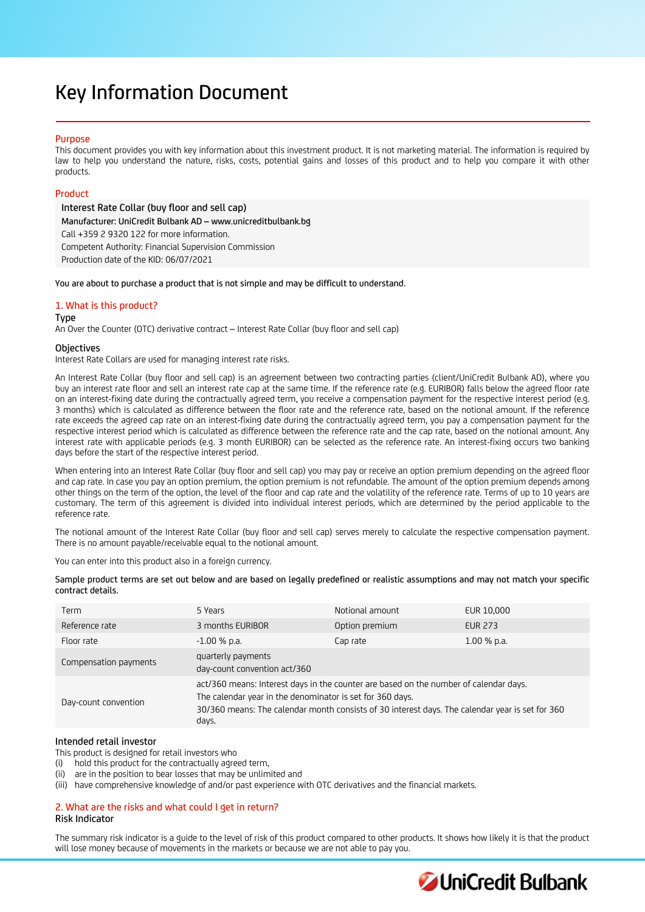# Key Information Document

# **Purpose**

This document provides you with key information about this investment product. It is not marketing material. The information is required by law to help you understand the nature, risks, costs, potential gains and losses of this product and to help you compare it with other products.

# Product

Interest Rate Collar (buy floor and sell cap) Manufacturer: UniCredit Bulbank AD – www.unicreditbulbank.bg Call +359 2 9320 122 for more information. Competent Authority: Financial Supervision Commission Production date of the KID: 06/07/2021

You are about to purchase a product that is not simple and may be difficult to understand.

# 1. What is this product?

## Type

An Over the Counter (OTC) derivative contract – Interest Rate Collar (buy floor and sell cap)

# **Objectives**

Interest Rate Collars are used for managing interest rate risks.

An Interest Rate Collar (buy floor and sell cap) is an agreement between two contracting parties (client/UniCredit Bulbank AD), where you buy an interest rate floor and sell an interest rate cap at the same time. If the reference rate (e.g. EURIBOR) falls below the agreed floor rate on an interest-fixing date during the contractually agreed term, you receive a compensation payment for the respective interest period (e.g. 3 months) which is calculated as difference between the floor rate and the reference rate, based on the notional amount. If the reference rate exceeds the agreed cap rate on an interest-fixing date during the contractually agreed term, you pay a compensation payment for the respective interest period which is calculated as difference between the reference rate and the cap rate, based on the notional amount. Any interest rate with applicable periods (e.g. 3 month EURIBOR) can be selected as the reference rate. An interest-fixing occurs two banking days before the start of the respective interest period.

When entering into an Interest Rate Collar (buy floor and sell cap) you may pay or receive an option premium depending on the agreed floor and cap rate. In case you pay an option premium, the option premium is not refundable. The amount of the option premium depends among other things on the term of the option, the level of the floor and cap rate and the volatility of the reference rate. Terms of up to 10 years are customary. The term of this agreement is divided into individual interest periods, which are determined by the period applicable to the reference rate.

The notional amount of the Interest Rate Collar (buy floor and sell cap) serves merely to calculate the respective compensation payment. There is no amount payable/receivable equal to the notional amount.

You can enter into this product also in a foreign currency.

| Sample product terms are set out below and are based on legally predefined or realistic assumptions and may not match your specific |  |  |  |
|-------------------------------------------------------------------------------------------------------------------------------------|--|--|--|
| contract details.                                                                                                                   |  |  |  |

| Term                  | 5 Years                                                                                                                                                                                                                                                        | Notional amount | EUR 10,000     |
|-----------------------|----------------------------------------------------------------------------------------------------------------------------------------------------------------------------------------------------------------------------------------------------------------|-----------------|----------------|
| Reference rate        | 3 months EURIBOR                                                                                                                                                                                                                                               | Option premium  | <b>EUR 273</b> |
| Floor rate            | $-1.00$ % p.a.                                                                                                                                                                                                                                                 | Cap rate        | $1.00\%$ p.a.  |
| Compensation payments | quarterly payments<br>day-count convention act/360                                                                                                                                                                                                             |                 |                |
| Day-count convention  | act/360 means: Interest days in the counter are based on the number of calendar days.<br>The calendar year in the denominator is set for 360 days.<br>30/360 means: The calendar month consists of 30 interest days. The calendar year is set for 360<br>days. |                 |                |

# Intended retail investor

This product is designed for retail investors who

(i) hold this product for the contractually agreed term,

(ii) are in the position to bear losses that may be unlimited and

(iii) have comprehensive knowledge of and/or past experience with OTC derivatives and the financial markets.

## 2. What are the risks and what could I get in return? Risk Indicator

The summary risk indicator is a guide to the level of risk of this product compared to other products. It shows how likely it is that the product will lose money because of movements in the markets or because we are not able to pay you.

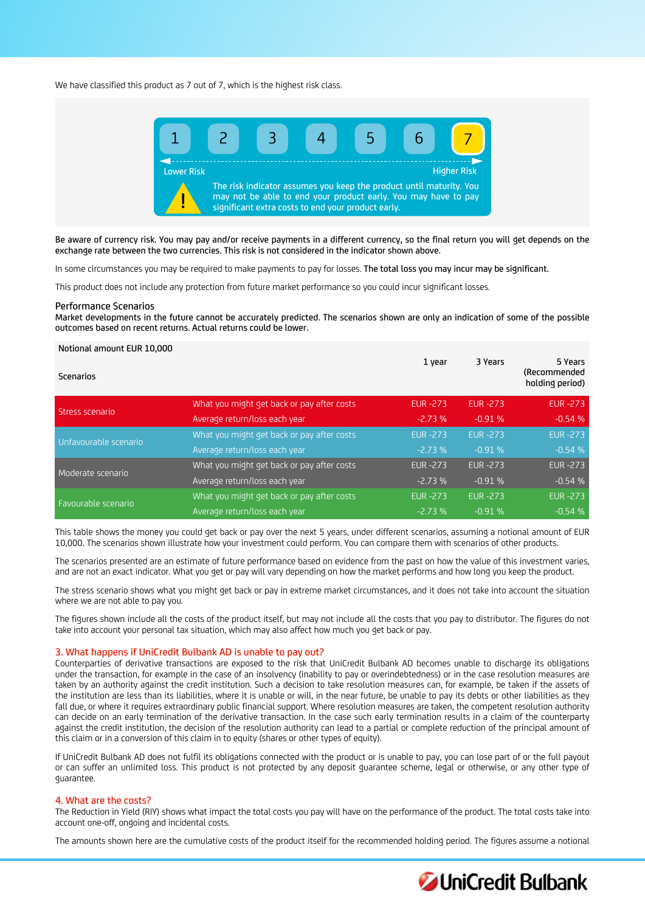We have classified this product as 7 out of 7, which is the highest risk class.



Be aware of currency risk. You may pay and/or receive payments in a different currency, so the final return you will get depends on the exchange rate between the two currencies. This risk is not considered in the indicator shown above.

In some circumstances you may be required to make payments to pay for losses. The total loss you may incur may be significant.

This product does not include any protection from future market performance so you could incur significant losses.

#### Performance Scenarios

Market developments in the future cannot be accurately predicted. The scenarios shown are only an indication of some of the possible outcomes based on recent returns. Actual returns could be lower.

## Notional amount EUR 10,000

| Scenarios             |                                            | 1 year          | 3 Years        | 5 Years<br>(Recommended<br>holding period) |
|-----------------------|--------------------------------------------|-----------------|----------------|--------------------------------------------|
| Stress scenario       | What you might get back or pay after costs | <b>EUR -273</b> | <b>EUR-273</b> | <b>EUR -273</b>                            |
|                       | Average return/loss each year              | $-2.73%$        | $-0.91%$       | $-0.54%$                                   |
| Unfavourable scenario | What you might get back or pay after costs | <b>EUR -273</b> | <b>EUR-273</b> | <b>EUR -273</b>                            |
|                       | Average return/loss each year              | $-2.73%$        | $-0.91%$       | $-0.54%$                                   |
| Moderate scenario     | What you might get back or pay after costs | <b>EUR -273</b> | <b>EUR-273</b> | <b>EUR -273</b>                            |
|                       | Average return/loss each year              | $-2.73%$        | $-0.91%$       | $-0.54%$                                   |
|                       | What you might get back or pay after costs | <b>EUR -273</b> | <b>EUR-273</b> | <b>EUR -273</b>                            |
| Favourable scenario   | Average return/loss each year              | $-2.73%$        | $-0.91%$       | $-0.54%$                                   |

This table shows the money you could get back or pay over the next 5 years, under different scenarios, assuming a notional amount of EUR 10,000. The scenarios shown illustrate how your investment could perform. You can compare them with scenarios of other products.

The scenarios presented are an estimate of future performance based on evidence from the past on how the value of this investment varies, and are not an exact indicator. What you get or pay will vary depending on how the market performs and how long you keep the product.

The stress scenario shows what you might get back or pay in extreme market circumstances, and it does not take into account the situation where we are not able to pay you.

The figures shown include all the costs of the product itself, but may not include all the costs that you pay to distributor. The figures do not take into account your personal tax situation, which may also affect how much you get back or pay.

#### 3. What happens if UniCredit Bulbank AD is unable to pay out?

Counterparties of derivative transactions are exposed to the risk that UniCredit Bulbank AD becomes unable to discharge its obligations under the transaction, for example in the case of an insolvency (inability to pay or overindebtedness) or in the case resolution measures are taken by an authority against the credit institution. Such a decision to take resolution measures can, for example, be taken if the assets of the institution are less than its liabilities, where it is unable or will, in the near future, be unable to pay its debts or other liabilities as they fall due, or where it requires extraordinary public financial support. Where resolution measures are taken, the competent resolution authority can decide on an early termination of the derivative transaction. In the case such early termination results in a claim of the counterparty against the credit institution, the decision of the resolution authority can lead to a partial or complete reduction of the principal amount of this claim or in a conversion of this claim in to equity (shares or other types of equity).

If UniCredit Bulbank AD does not fulfil its obligations connected with the product or is unable to pay, you can lose part of or the full payout or can suffer an unlimited loss. This product is not protected by any deposit guarantee scheme, legal or otherwise, or any other type of guarantee.

# 4. What are the costs?

The Reduction in Yield (RIY) shows what impact the total costs you pay will have on the performance of the product. The total costs take into account one-off, ongoing and incidental costs.

The amounts shown here are the cumulative costs of the product itself for the recommended holding period. The figures assume a notional